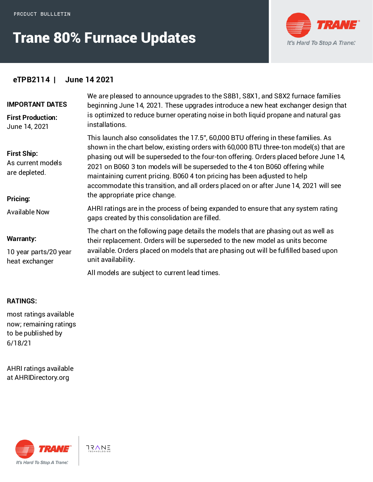# Trane 80% Furnace Updates



### **eTPB2114 | June 14 2021**

| <b>IMPORTANT DATES</b><br><b>First Production:</b><br>June 14, 2021  | We are pleased to announce upgrades to the S8B1, S8X1, and S8X2 furnace families<br>beginning June 14, 2021. These upgrades introduce a new heat exchanger design that<br>is optimized to reduce burner operating noise in both liquid propane and natural gas<br>installations.                                                                                                                                                                                                                                                                              |
|----------------------------------------------------------------------|---------------------------------------------------------------------------------------------------------------------------------------------------------------------------------------------------------------------------------------------------------------------------------------------------------------------------------------------------------------------------------------------------------------------------------------------------------------------------------------------------------------------------------------------------------------|
| <b>First Ship:</b><br>As current models<br>are depleted.<br>Pricing: | This launch also consolidates the 17.5", 60,000 BTU offering in these families. As<br>shown in the chart below, existing orders with 60,000 BTU three-ton model(s) that are<br>phasing out will be superseded to the four-ton offering. Orders placed before June 14,<br>2021 on B060 3 ton models will be superseded to the 4 ton B060 offering while<br>maintaining current pricing. B060 4 ton pricing has been adjusted to help<br>accommodate this transition, and all orders placed on or after June 14, 2021 will see<br>the appropriate price change. |
| <b>Available Now</b>                                                 | AHRI ratings are in the process of being expanded to ensure that any system rating<br>gaps created by this consolidation are filled.                                                                                                                                                                                                                                                                                                                                                                                                                          |
| <b>Warranty:</b><br>10 year parts/20 year<br>heat exchanger          | The chart on the following page details the models that are phasing out as well as<br>their replacement. Orders will be superseded to the new model as units become<br>available. Orders placed on models that are phasing out will be fulfilled based upon<br>unit availability.<br>All models are subject to current lead times.                                                                                                                                                                                                                            |

#### **RATINGS:**

most ratings available now; remaining ratings to be published by 6/18/21

AHRI ratings available at AHRI[Directory.org](http://ahridirectory.org)



 $75\sqrt{N_E}$